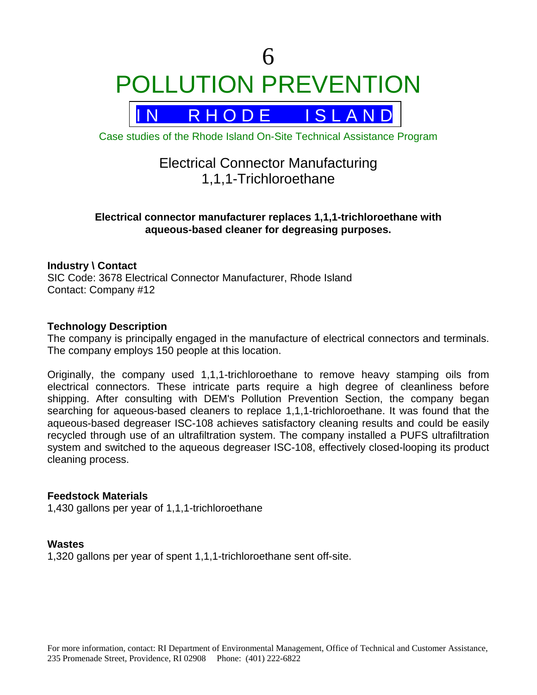



Case studies of the Rhode Island On-Site Technical Assistance Program

# Electrical Connector Manufacturing 1,1,1-Trichloroethane

### **Electrical connector manufacturer replaces 1,1,1-trichloroethane with aqueous-based cleaner for degreasing purposes.**

#### **Industry \ Contact**

SIC Code: 3678 Electrical Connector Manufacturer, Rhode Island Contact: Company #12

#### **Technology Description**

The company is principally engaged in the manufacture of electrical connectors and terminals. The company employs 150 people at this location.

Originally, the company used 1,1,1-trichloroethane to remove heavy stamping oils from electrical connectors. These intricate parts require a high degree of cleanliness before shipping. After consulting with DEM's Pollution Prevention Section, the company began searching for aqueous-based cleaners to replace 1,1,1-trichloroethane. It was found that the aqueous-based degreaser ISC-108 achieves satisfactory cleaning results and could be easily recycled through use of an ultrafiltration system. The company installed a PUFS ultrafiltration system and switched to the aqueous degreaser ISC-108, effectively closed-looping its product cleaning process.

#### **Feedstock Materials**

1,430 gallons per year of 1,1,1-trichloroethane

#### **Wastes**

1,320 gallons per year of spent 1,1,1-trichloroethane sent off-site.